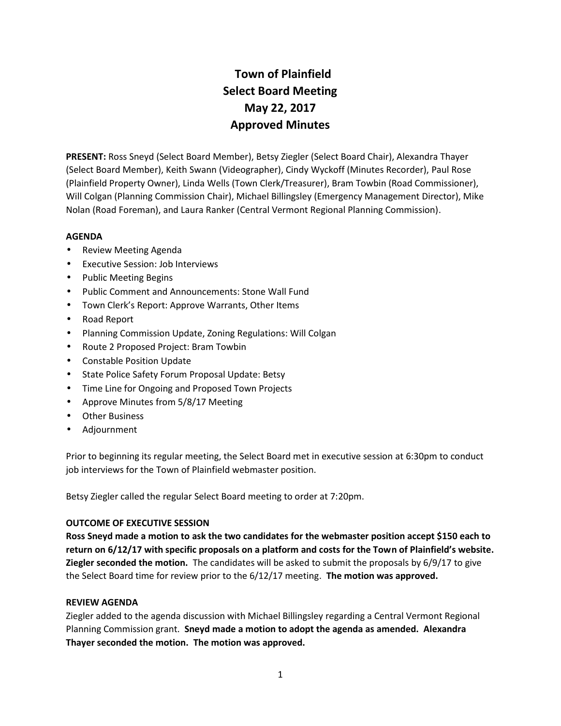# **Town of Plainfield Select Board Meeting May 22, 2017 Approved Minutes**

**PRESENT:** Ross Sneyd (Select Board Member), Betsy Ziegler (Select Board Chair), Alexandra Thayer (Select Board Member), Keith Swann (Videographer), Cindy Wyckoff (Minutes Recorder), Paul Rose (Plainfield Property Owner), Linda Wells (Town Clerk/Treasurer), Bram Towbin (Road Commissioner), Will Colgan (Planning Commission Chair), Michael Billingsley (Emergency Management Director), Mike Nolan (Road Foreman), and Laura Ranker (Central Vermont Regional Planning Commission).

## **AGENDA**

- Review Meeting Agenda
- Executive Session: Job Interviews
- Public Meeting Begins
- Public Comment and Announcements: Stone Wall Fund
- Town Clerk's Report: Approve Warrants, Other Items
- Road Report
- Planning Commission Update, Zoning Regulations: Will Colgan
- Route 2 Proposed Project: Bram Towbin
- Constable Position Update
- State Police Safety Forum Proposal Update: Betsy
- Time Line for Ongoing and Proposed Town Projects
- Approve Minutes from 5/8/17 Meeting
- Other Business
- Adjournment

Prior to beginning its regular meeting, the Select Board met in executive session at 6:30pm to conduct job interviews for the Town of Plainfield webmaster position.

Betsy Ziegler called the regular Select Board meeting to order at 7:20pm.

#### **OUTCOME OF EXECUTIVE SESSION**

**Ross Sneyd made a motion to ask the two candidates for the webmaster position accept \$150 each to return on 6/12/17 with specific proposals on a platform and costs for the Town of Plainfield's website. Ziegler seconded the motion.** The candidates will be asked to submit the proposals by 6/9/17 to give the Select Board time for review prior to the 6/12/17 meeting. **The motion was approved.**

#### **REVIEW AGENDA**

Ziegler added to the agenda discussion with Michael Billingsley regarding a Central Vermont Regional Planning Commission grant. **Sneyd made a motion to adopt the agenda as amended. Alexandra Thayer seconded the motion. The motion was approved.**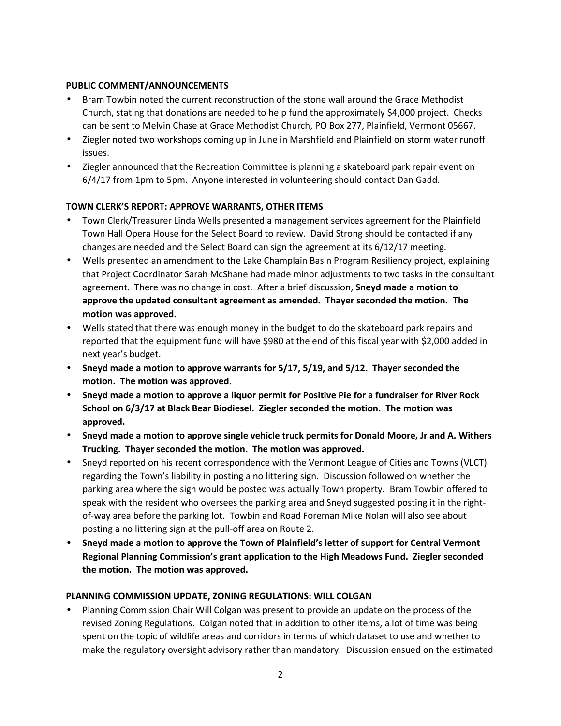### **PUBLIC COMMENT/ANNOUNCEMENTS**

- Bram Towbin noted the current reconstruction of the stone wall around the Grace Methodist Church, stating that donations are needed to help fund the approximately \$4,000 project. Checks can be sent to Melvin Chase at Grace Methodist Church, PO Box 277, Plainfield, Vermont 05667.
- Ziegler noted two workshops coming up in June in Marshfield and Plainfield on storm water runoff issues.
- Ziegler announced that the Recreation Committee is planning a skateboard park repair event on 6/4/17 from 1pm to 5pm. Anyone interested in volunteering should contact Dan Gadd.

# **TOWN CLERK'S REPORT: APPROVE WARRANTS, OTHER ITEMS**

- Town Clerk/Treasurer Linda Wells presented a management services agreement for the Plainfield Town Hall Opera House for the Select Board to review. David Strong should be contacted if any changes are needed and the Select Board can sign the agreement at its 6/12/17 meeting.
- Wells presented an amendment to the Lake Champlain Basin Program Resiliency project, explaining that Project Coordinator Sarah McShane had made minor adjustments to two tasks in the consultant agreement. There was no change in cost. After a brief discussion, **Sneyd made a motion to approve the updated consultant agreement as amended. Thayer seconded the motion. The motion was approved.**
- Wells stated that there was enough money in the budget to do the skateboard park repairs and reported that the equipment fund will have \$980 at the end of this fiscal year with \$2,000 added in next year's budget.
- **Sneyd made a motion to approve warrants for 5/17, 5/19, and 5/12. Thayer seconded the motion. The motion was approved.**
- **Sneyd made a motion to approve a liquor permit for Positive Pie for a fundraiser for River Rock School on 6/3/17 at Black Bear Biodiesel. Ziegler seconded the motion. The motion was approved.**
- **Sneyd made a motion to approve single vehicle truck permits for Donald Moore, Jr and A. Withers Trucking. Thayer seconded the motion. The motion was approved.**
- Sneyd reported on his recent correspondence with the Vermont League of Cities and Towns (VLCT) regarding the Town's liability in posting a no littering sign. Discussion followed on whether the parking area where the sign would be posted was actually Town property. Bram Towbin offered to speak with the resident who oversees the parking area and Sneyd suggested posting it in the right of-way area before the parking lot. Towbin and Road Foreman Mike Nolan will also see about posting a no littering sign at the pull-off area on Route 2.
- **Sneyd made a motion to approve the Town of Plainfield's letter of support for Central Vermont Regional Planning Commission's grant application to the High Meadows Fund. Ziegler seconded the motion. The motion was approved.**

#### **PLANNING COMMISSION UPDATE, ZONING REGULATIONS: WILL COLGAN**

 Planning Commission Chair Will Colgan was present to provide an update on the process of the revised Zoning Regulations. Colgan noted that in addition to other items, a lot of time was being spent on the topic of wildlife areas and corridors in terms of which dataset to use and whether to make the regulatory oversight advisory rather than mandatory. Discussion ensued on the estimated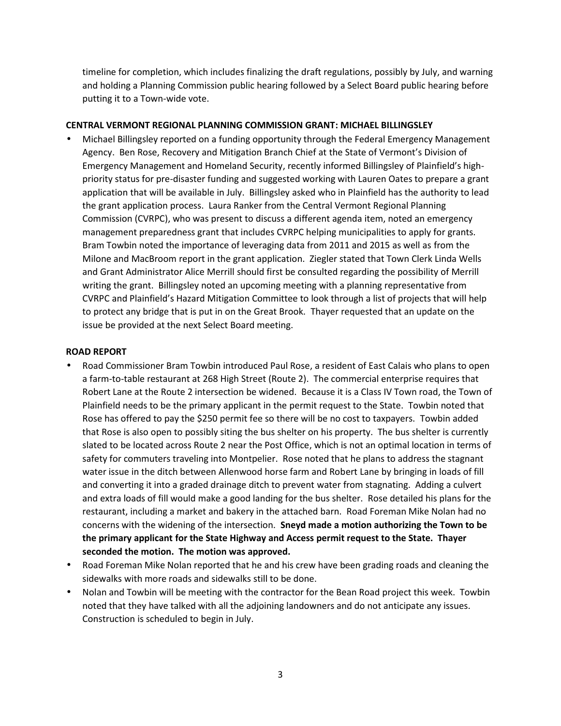timeline for completion, which includes finalizing the draft regulations, possibly by July, and warning and holding a Planning Commission public hearing followed by a Select Board public hearing before putting it to a Town-wide vote.

#### **CENTRAL VERMONT REGIONAL PLANNING COMMISSION GRANT: MICHAEL BILLINGSLEY**

 Michael Billingsley reported on a funding opportunity through the Federal Emergency Management Agency. Ben Rose, Recovery and Mitigation Branch Chief at the State of Vermont's Division of Emergency Management and Homeland Security, recently informed Billingsley of Plainfield's high priority status for pre-disaster funding and suggested working with Lauren Oates to prepare a grant application that will be available in July. Billingsley asked who in Plainfield has the authority to lead the grant application process. Laura Ranker from the Central Vermont Regional Planning Commission (CVRPC), who was present to discuss a different agenda item, noted an emergency management preparedness grant that includes CVRPC helping municipalities to apply for grants. Bram Towbin noted the importance of leveraging data from 2011 and 2015 as well as from the Milone and MacBroom report in the grant application. Ziegler stated that Town Clerk Linda Wells and Grant Administrator Alice Merrill should first be consulted regarding the possibility of Merrill writing the grant. Billingsley noted an upcoming meeting with a planning representative from CVRPC and Plainfield's Hazard Mitigation Committee to look through a list of projects that will help to protect any bridge that is put in on the Great Brook. Thayer requested that an update on the issue be provided at the next Select Board meeting.

#### **ROAD REPORT**

- Road Commissioner Bram Towbin introduced Paul Rose, a resident of East Calais who plans to open a farm-to-table restaurant at 268 High Street (Route 2). The commercial enterprise requires that Robert Lane at the Route 2 intersection be widened. Because it is a Class IV Town road, the Town of Plainfield needs to be the primary applicant in the permit request to the State. Towbin noted that Rose has offered to pay the \$250 permit fee so there will be no cost to taxpayers. Towbin added that Rose is also open to possibly siting the bus shelter on his property. The bus shelter is currently slated to be located across Route 2 near the Post Office, which is not an optimal location in terms of safety for commuters traveling into Montpelier. Rose noted that he plans to address the stagnant water issue in the ditch between Allenwood horse farm and Robert Lane by bringing in loads of fill and converting it into a graded drainage ditch to prevent water from stagnating. Adding a culvert and extra loads of fill would make a good landing for the bus shelter. Rose detailed his plans for the restaurant, including a market and bakery in the attached barn. Road Foreman Mike Nolan had no concerns with the widening of the intersection. **Sneyd made a motion authorizing the Town to be the primary applicant for the State Highway and Access permit request to the State. Thayer seconded the motion. The motion was approved.**
- Road Foreman Mike Nolan reported that he and his crew have been grading roads and cleaning the sidewalks with more roads and sidewalks still to be done.
- Nolan and Towbin will be meeting with the contractor for the Bean Road project this week. Towbin noted that they have talked with all the adjoining landowners and do not anticipate any issues. Construction is scheduled to begin in July.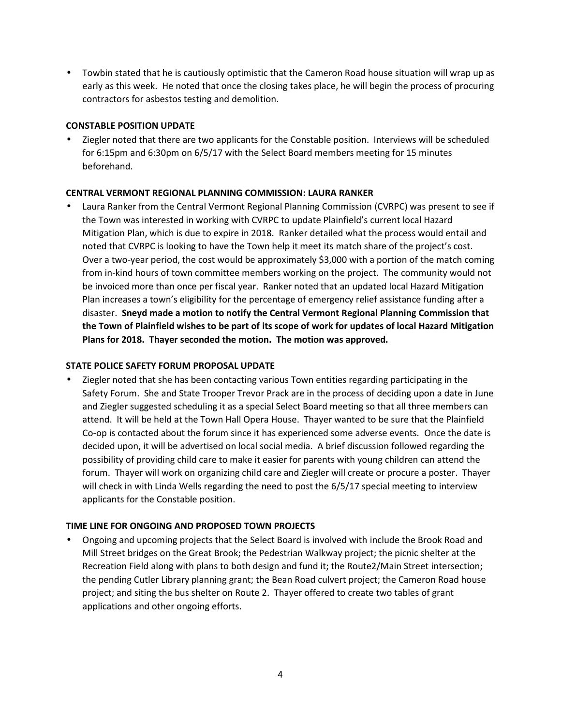Towbin stated that he is cautiously optimistic that the Cameron Road house situation will wrap up as early as this week. He noted that once the closing takes place, he will begin the process of procuring contractors for asbestos testing and demolition.

## **CONSTABLE POSITION UPDATE**

 Ziegler noted that there are two applicants for the Constable position. Interviews will be scheduled for 6:15pm and 6:30pm on 6/5/17 with the Select Board members meeting for 15 minutes beforehand.

## **CENTRAL VERMONT REGIONAL PLANNING COMMISSION: LAURA RANKER**

 Laura Ranker from the Central Vermont Regional Planning Commission (CVRPC) was present to see if the Town was interested in working with CVRPC to update Plainfield's current local Hazard Mitigation Plan, which is due to expire in 2018. Ranker detailed what the process would entail and noted that CVRPC is looking to have the Town help it meet its match share of the project's cost. Over a two-year period, the cost would be approximately \$3,000 with a portion of the match coming from in-kind hours of town committee members working on the project. The community would not be invoiced more than once per fiscal year. Ranker noted that an updated local Hazard Mitigation Plan increases a town's eligibility for the percentage of emergency relief assistance funding after a disaster. **Sneyd made a motion to notify the Central Vermont Regional Planning Commission that the Town of Plainfield wishes to be part of its scope of work for updates of local Hazard Mitigation Plans for 2018. Thayer seconded the motion. The motion was approved.**

### **STATE POLICE SAFETY FORUM PROPOSAL UPDATE**

 Ziegler noted that she has been contacting various Town entities regarding participating in the Safety Forum. She and State Trooper Trevor Prack are in the process of deciding upon a date in June and Ziegler suggested scheduling it as a special Select Board meeting so that all three members can attend. It will be held at the Town Hall Opera House. Thayer wanted to be sure that the Plainfield Co-op is contacted about the forum since it has experienced some adverse events. Once the date is decided upon, it will be advertised on local social media. A brief discussion followed regarding the possibility of providing child care to make it easier for parents with young children can attend the forum. Thayer will work on organizing child care and Ziegler will create or procure a poster. Thayer will check in with Linda Wells regarding the need to post the 6/5/17 special meeting to interview applicants for the Constable position.

# **TIME LINE FOR ONGOING AND PROPOSED TOWN PROJECTS**

 Ongoing and upcoming projects that the Select Board is involved with include the Brook Road and Mill Street bridges on the Great Brook; the Pedestrian Walkway project; the picnic shelter at the Recreation Field along with plans to both design and fund it; the Route2/Main Street intersection; the pending Cutler Library planning grant; the Bean Road culvert project; the Cameron Road house project; and siting the bus shelter on Route 2. Thayer offered to create two tables of grant applications and other ongoing efforts.